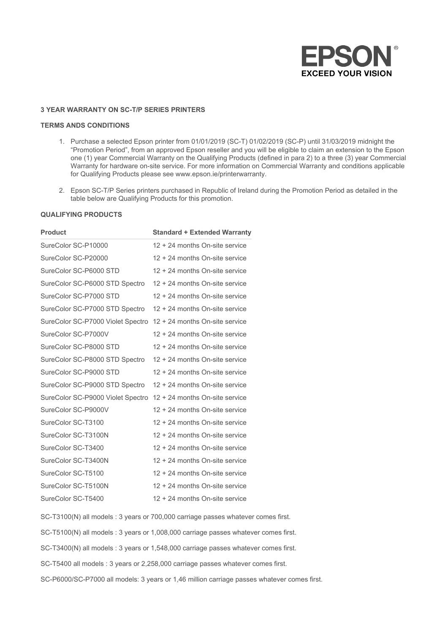

## **3 YEAR WARRANTY ON SC-T/P SERIES PRINTERS**

## **TERMS ANDS CONDITIONS**

- 1. Purchase a selected Epson printer from 01/01/2019 (SC-T) 01/02/2019 (SC-P) until 31/03/2019 midnight the "Promotion Period", from an approved Epson reseller and you will be eligible to claim an extension to the Epson one (1) year Commercial Warranty on the Qualifying Products (defined in para 2) to a three (3) year Commercial Warranty for hardware on-site service. For more information on Commercial Warranty and conditions applicable for Qualifying Products please see www.epson.ie/printerwarranty.
- 2. Epson SC-T/P Series printers purchased in Republic of Ireland during the Promotion Period as detailed in the table below are Qualifying Products for this promotion.

## **QUALIFYING PRODUCTS**

| <b>Standard + Extended Warranty</b>                              |
|------------------------------------------------------------------|
| 12 + 24 months On-site service                                   |
| 12 + 24 months On-site service                                   |
| 12 + 24 months On-site service                                   |
| 12 + 24 months On-site service                                   |
| 12 + 24 months On-site service                                   |
| 12 + 24 months On-site service                                   |
| SureColor SC-P7000 Violet Spectro 12 + 24 months On-site service |
| 12 + 24 months On-site service                                   |
| 12 + 24 months On-site service                                   |
| 12 + 24 months On-site service                                   |
| 12 + 24 months On-site service                                   |
| 12 + 24 months On-site service                                   |
| SureColor SC-P9000 Violet Spectro 12 + 24 months On-site service |
| 12 + 24 months On-site service                                   |
| 12 + 24 months On-site service                                   |
| 12 + 24 months On-site service                                   |
| 12 + 24 months On-site service                                   |
| 12 + 24 months On-site service                                   |
| 12 + 24 months On-site service                                   |
| 12 + 24 months On-site service                                   |
| 12 + 24 months On-site service                                   |
|                                                                  |

SC-T3100(N) all models : 3 years or 700,000 carriage passes whatever comes first.

SC-T5100(N) all models : 3 years or 1,008,000 carriage passes whatever comes first.

SC-T3400(N) all models : 3 years or 1,548,000 carriage passes whatever comes first.

SC-T5400 all models : 3 years or 2,258,000 carriage passes whatever comes first.

SC-P6000/SC-P7000 all models: 3 years or 1,46 million carriage passes whatever comes first.